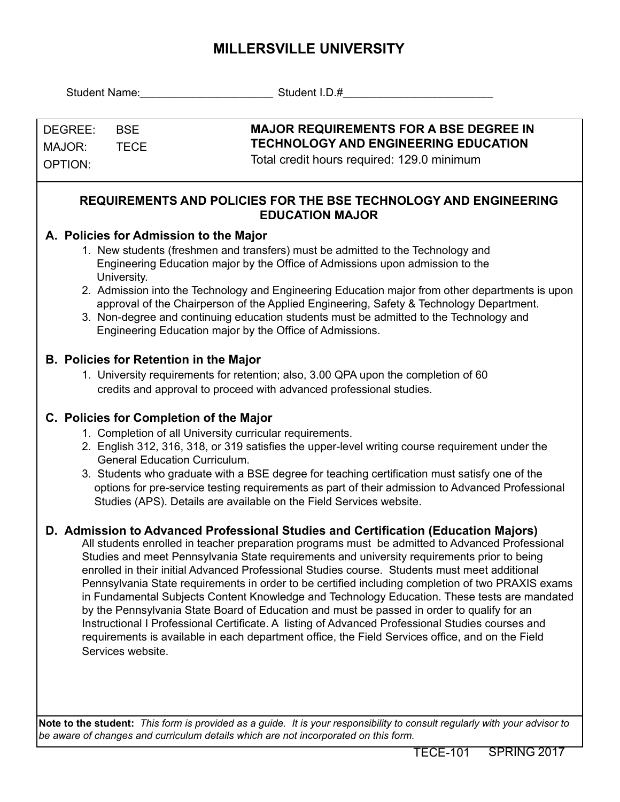## **MILLERSVILLE UNIVERSITY**

|                                                                                                                                                                                                            | Student Name: Contract Contract Contract Contract Contract Contract Contract Contract Contract Contract Contract Contract Contract Contract Contract Contract Contract Contract Contract Contract Contract Contract Contract C                                                                                                                                                                                                                                                                                                                                                                                                                                                                                                                                                                                                                                                                   |  |  |  |  |  |
|------------------------------------------------------------------------------------------------------------------------------------------------------------------------------------------------------------|--------------------------------------------------------------------------------------------------------------------------------------------------------------------------------------------------------------------------------------------------------------------------------------------------------------------------------------------------------------------------------------------------------------------------------------------------------------------------------------------------------------------------------------------------------------------------------------------------------------------------------------------------------------------------------------------------------------------------------------------------------------------------------------------------------------------------------------------------------------------------------------------------|--|--|--|--|--|
| DEGREE:<br><b>BSE</b><br>MAJOR:<br><b>TECE</b><br><b>OPTION:</b>                                                                                                                                           | <b>MAJOR REQUIREMENTS FOR A BSE DEGREE IN</b><br><b>TECHNOLOGY AND ENGINEERING EDUCATION</b><br>Total credit hours required: 129.0 minimum                                                                                                                                                                                                                                                                                                                                                                                                                                                                                                                                                                                                                                                                                                                                                       |  |  |  |  |  |
|                                                                                                                                                                                                            | REQUIREMENTS AND POLICIES FOR THE BSE TECHNOLOGY AND ENGINEERING<br><b>EDUCATION MAJOR</b>                                                                                                                                                                                                                                                                                                                                                                                                                                                                                                                                                                                                                                                                                                                                                                                                       |  |  |  |  |  |
| A. Policies for Admission to the Major<br>University.                                                                                                                                                      | 1. New students (freshmen and transfers) must be admitted to the Technology and<br>Engineering Education major by the Office of Admissions upon admission to the<br>2. Admission into the Technology and Engineering Education major from other departments is upon<br>approval of the Chairperson of the Applied Engineering, Safety & Technology Department.<br>3. Non-degree and continuing education students must be admitted to the Technology and<br>Engineering Education major by the Office of Admissions.                                                                                                                                                                                                                                                                                                                                                                             |  |  |  |  |  |
| <b>B. Policies for Retention in the Major</b><br>1. University requirements for retention; also, 3.00 QPA upon the completion of 60<br>credits and approval to proceed with advanced professional studies. |                                                                                                                                                                                                                                                                                                                                                                                                                                                                                                                                                                                                                                                                                                                                                                                                                                                                                                  |  |  |  |  |  |
| C. Policies for Completion of the Major                                                                                                                                                                    | 1. Completion of all University curricular requirements.<br>2. English 312, 316, 318, or 319 satisfies the upper-level writing course requirement under the<br><b>General Education Curriculum.</b><br>3. Students who graduate with a BSE degree for teaching certification must satisfy one of the<br>options for pre-service testing requirements as part of their admission to Advanced Professional<br>Studies (APS). Details are available on the Field Services website.                                                                                                                                                                                                                                                                                                                                                                                                                  |  |  |  |  |  |
| Services website.                                                                                                                                                                                          | D. Admission to Advanced Professional Studies and Certification (Education Majors)<br>All students enrolled in teacher preparation programs must be admitted to Advanced Professional<br>Studies and meet Pennsylvania State requirements and university requirements prior to being<br>enrolled in their initial Advanced Professional Studies course. Students must meet additional<br>Pennsylvania State requirements in order to be certified including completion of two PRAXIS exams<br>in Fundamental Subjects Content Knowledge and Technology Education. These tests are mandated<br>by the Pennsylvania State Board of Education and must be passed in order to qualify for an<br>Instructional I Professional Certificate. A listing of Advanced Professional Studies courses and<br>requirements is available in each department office, the Field Services office, and on the Field |  |  |  |  |  |

**Note to the student:** *This form is provided as a guide. It is your responsibility to consult regularly with your advisor to be aware of changes and curriculum details which are not incorporated on this form.*